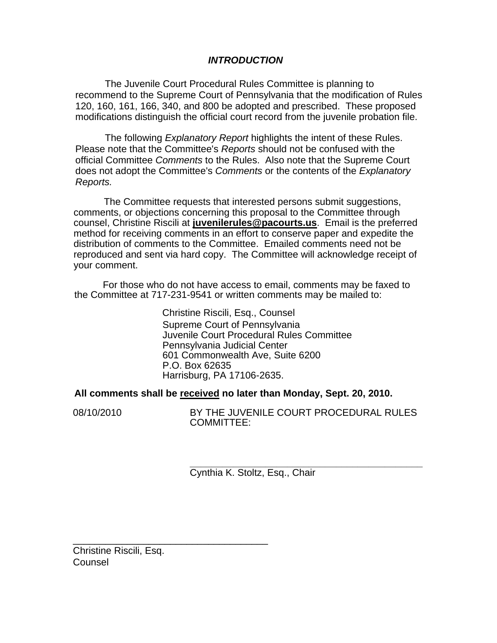# *INTRODUCTION*

The Juvenile Court Procedural Rules Committee is planning to recommend to the Supreme Court of Pennsylvania that the modification of Rules 120, 160, 161, 166, 340, and 800 be adopted and prescribed. These proposed modifications distinguish the official court record from the juvenile probation file.

The following *Explanatory Report* highlights the intent of these Rules. Please note that the Committee's *Reports* should not be confused with the official Committee *Comments* to the Rules. Also note that the Supreme Court does not adopt the Committee's *Comments* or the contents of the *Explanatory Reports.* 

The Committee requests that interested persons submit suggestions, comments, or objections concerning this proposal to the Committee through counsel, Christine Riscili at **juvenilerules@pacourts.us**. Email is the preferred method for receiving comments in an effort to conserve paper and expedite the distribution of comments to the Committee. Emailed comments need not be reproduced and sent via hard copy. The Committee will acknowledge receipt of your comment.

 For those who do not have access to email, comments may be faxed to the Committee at 717-231-9541 or written comments may be mailed to:

> Christine Riscili, Esq., Counsel Supreme Court of Pennsylvania Juvenile Court Procedural Rules Committee Pennsylvania Judicial Center 601 Commonwealth Ave, Suite 6200 P.O. Box 62635 Harrisburg, PA 17106-2635.

**All comments shall be received no later than Monday, Sept. 20, 2010.** 

08/10/2010 BY THE JUVENILE COURT PROCEDURAL RULES COMMITTEE:

> **\_\_\_\_\_\_\_\_\_\_\_\_\_\_\_\_\_\_\_\_\_\_\_\_\_\_\_\_\_\_\_\_\_\_\_\_\_\_\_\_\_\_\_**  Cynthia K. Stoltz, Esq., Chair

Christine Riscili, Esq. Counsel

\_\_\_\_\_\_\_\_\_\_\_\_\_\_\_\_\_\_\_\_\_\_\_\_\_\_\_\_\_\_\_\_\_\_\_\_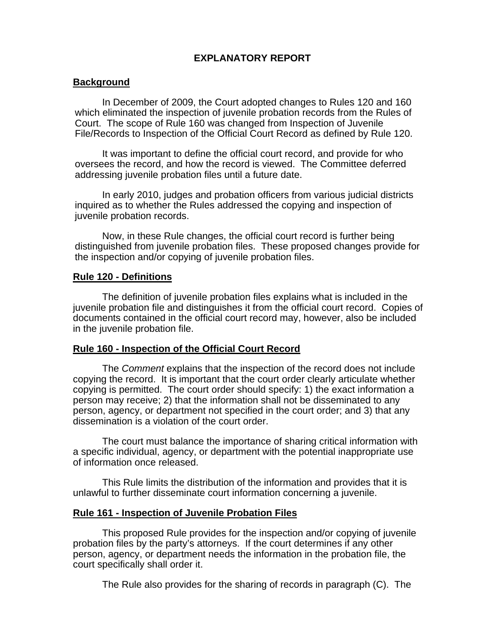# **EXPLANATORY REPORT**

## **Background**

In December of 2009, the Court adopted changes to Rules 120 and 160 which eliminated the inspection of juvenile probation records from the Rules of Court. The scope of Rule 160 was changed from Inspection of Juvenile File/Records to Inspection of the Official Court Record as defined by Rule 120.

It was important to define the official court record, and provide for who oversees the record, and how the record is viewed. The Committee deferred addressing juvenile probation files until a future date.

In early 2010, judges and probation officers from various judicial districts inquired as to whether the Rules addressed the copying and inspection of juvenile probation records.

Now, in these Rule changes, the official court record is further being distinguished from juvenile probation files. These proposed changes provide for the inspection and/or copying of juvenile probation files.

## **Rule 120 - Definitions**

The definition of juvenile probation files explains what is included in the juvenile probation file and distinguishes it from the official court record. Copies of documents contained in the official court record may, however, also be included in the juvenile probation file.

### **Rule 160 - Inspection of the Official Court Record**

 The *Comment* explains that the inspection of the record does not include copying the record. It is important that the court order clearly articulate whether copying is permitted. The court order should specify: 1) the exact information a person may receive; 2) that the information shall not be disseminated to any person, agency, or department not specified in the court order; and 3) that any dissemination is a violation of the court order.

 The court must balance the importance of sharing critical information with a specific individual, agency, or department with the potential inappropriate use of information once released.

 This Rule limits the distribution of the information and provides that it is unlawful to further disseminate court information concerning a juvenile.

### **Rule 161 - Inspection of Juvenile Probation Files**

 This proposed Rule provides for the inspection and/or copying of juvenile probation files by the party's attorneys. If the court determines if any other person, agency, or department needs the information in the probation file, the court specifically shall order it.

The Rule also provides for the sharing of records in paragraph (C). The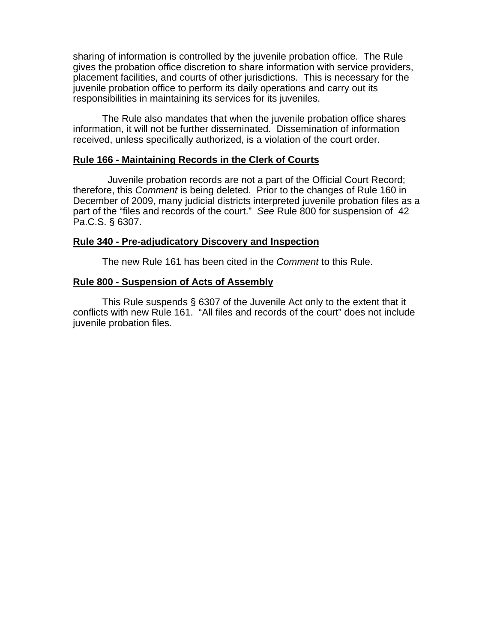sharing of information is controlled by the juvenile probation office. The Rule gives the probation office discretion to share information with service providers, placement facilities, and courts of other jurisdictions. This is necessary for the juvenile probation office to perform its daily operations and carry out its responsibilities in maintaining its services for its juveniles.

 The Rule also mandates that when the juvenile probation office shares information, it will not be further disseminated. Dissemination of information received, unless specifically authorized, is a violation of the court order.

## **Rule 166 - Maintaining Records in the Clerk of Courts**

 Juvenile probation records are not a part of the Official Court Record; therefore, this *Comment* is being deleted. Prior to the changes of Rule 160 in December of 2009, many judicial districts interpreted juvenile probation files as a part of the "files and records of the court." *See* Rule 800 for suspension of 42 Pa.C.S. § 6307.

## **Rule 340 - Pre-adjudicatory Discovery and Inspection**

The new Rule 161 has been cited in the *Comment* to this Rule.

## **Rule 800 - Suspension of Acts of Assembly**

 This Rule suspends § 6307 of the Juvenile Act only to the extent that it conflicts with new Rule 161. "All files and records of the court" does not include juvenile probation files.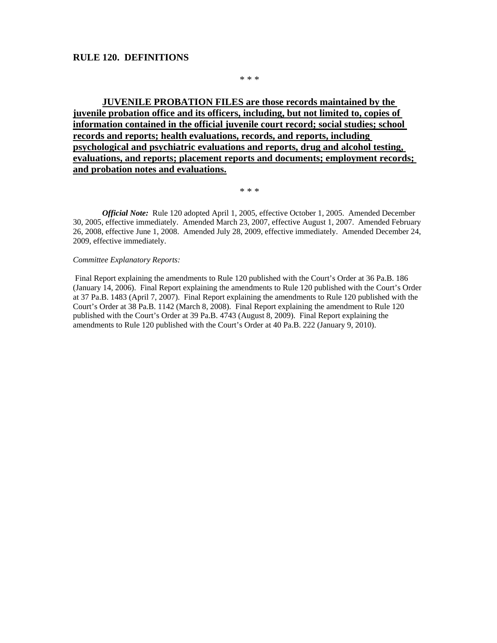### **RULE 120. DEFINITIONS**

\* \* \*

**JUVENILE PROBATION FILES are those records maintained by the juvenile probation office and its officers, including, but not limited to, copies of information contained in the official juvenile court record; social studies; school records and reports; health evaluations, records, and reports, including psychological and psychiatric evaluations and reports, drug and alcohol testing, evaluations, and reports; placement reports and documents; employment records; and probation notes and evaluations.**

\* \* \*

*Official Note:* Rule 120 adopted April 1, 2005, effective October 1, 2005. Amended December 30, 2005, effective immediately. Amended March 23, 2007, effective August 1, 2007. Amended February 26, 2008, effective June 1, 2008. Amended July 28, 2009, effective immediately. Amended December 24, 2009, effective immediately.

#### *Committee Explanatory Reports:*

Final Report explaining the amendments to Rule 120 published with the Court's Order at 36 Pa.B. 186 (January 14, 2006). Final Report explaining the amendments to Rule 120 published with the Court's Order at 37 Pa.B. 1483 (April 7, 2007). Final Report explaining the amendments to Rule 120 published with the Court's Order at 38 Pa.B. 1142 (March 8, 2008). Final Report explaining the amendment to Rule 120 published with the Court's Order at 39 Pa.B. 4743 (August 8, 2009). Final Report explaining the amendments to Rule 120 published with the Court's Order at 40 Pa.B. 222 (January 9, 2010).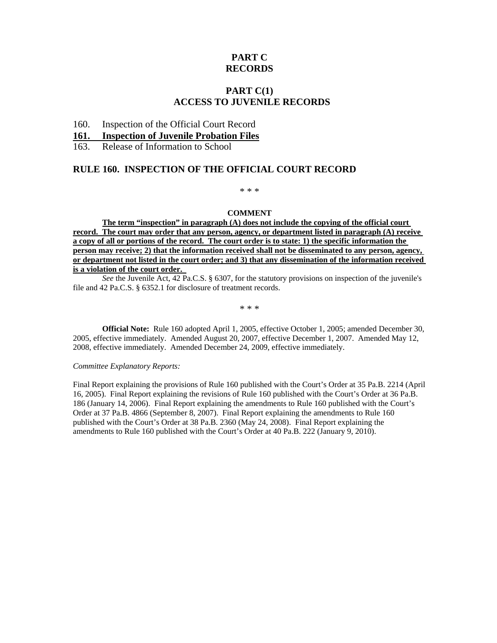# **PART C RECORDS**

## **PART C(1) ACCESS TO JUVENILE RECORDS**

### 160. Inspection of the Official Court Record

#### **161. Inspection of Juvenile Probation Files**

163. Release of Information to School

### **RULE 160. INSPECTION OF THE OFFICIAL COURT RECORD**

\* \* \*

#### **COMMENT**

**The term "inspection" in paragraph (A) does not include the copying of the official court record. The court may order that any person, agency, or department listed in paragraph (A) receive a copy of all or portions of the record. The court order is to state: 1) the specific information the person may receive; 2) that the information received shall not be disseminated to any person, agency, or department not listed in the court order; and 3) that any dissemination of the information received is a violation of the court order.** 

*See* the Juvenile Act, 42 Pa.C.S. § 6307, for the statutory provisions on inspection of the juvenile's file and 42 Pa.C.S. § 6352.1 for disclosure of treatment records.

\* \* \*

**Official Note:** Rule 160 adopted April 1, 2005, effective October 1, 2005; amended December 30, 2005, effective immediately. Amended August 20, 2007, effective December 1, 2007. Amended May 12, 2008, effective immediately. Amended December 24, 2009, effective immediately.

#### *Committee Explanatory Reports:*

Final Report explaining the provisions of Rule 160 published with the Court's Order at 35 Pa.B. 2214 (April 16, 2005). Final Report explaining the revisions of Rule 160 published with the Court's Order at 36 Pa.B. 186 (January 14, 2006). Final Report explaining the amendments to Rule 160 published with the Court's Order at 37 Pa.B. 4866 (September 8, 2007). Final Report explaining the amendments to Rule 160 published with the Court's Order at 38 Pa.B. 2360 (May 24, 2008). Final Report explaining the amendments to Rule 160 published with the Court's Order at 40 Pa.B. 222 (January 9, 2010).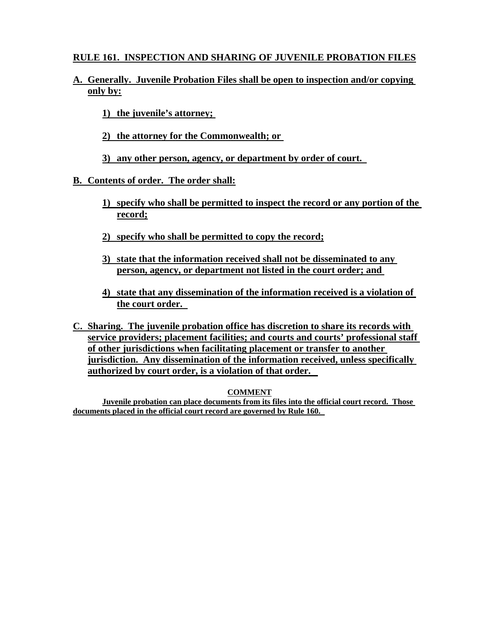# **RULE 161. INSPECTION AND SHARING OF JUVENILE PROBATION FILES**

# **A. Generally. Juvenile Probation Files shall be open to inspection and/or copying only by:**

- **1) the juvenile's attorney;**
- **2) the attorney for the Commonwealth; or**
- **3) any other person, agency, or department by order of court.**

# **B. Contents of order. The order shall:**

- **1) specify who shall be permitted to inspect the record or any portion of the record;**
- **2) specify who shall be permitted to copy the record;**
- **3) state that the information received shall not be disseminated to any person, agency, or department not listed in the court order; and**
- **4) state that any dissemination of the information received is a violation of the court order.**
- **C. Sharing. The juvenile probation office has discretion to share its records with service providers; placement facilities; and courts and courts' professional staff of other jurisdictions when facilitating placement or transfer to another jurisdiction. Any dissemination of the information received, unless specifically authorized by court order, is a violation of that order.**

## **COMMENT**

**Juvenile probation can place documents from its files into the official court record. Those documents placed in the official court record are governed by Rule 160.**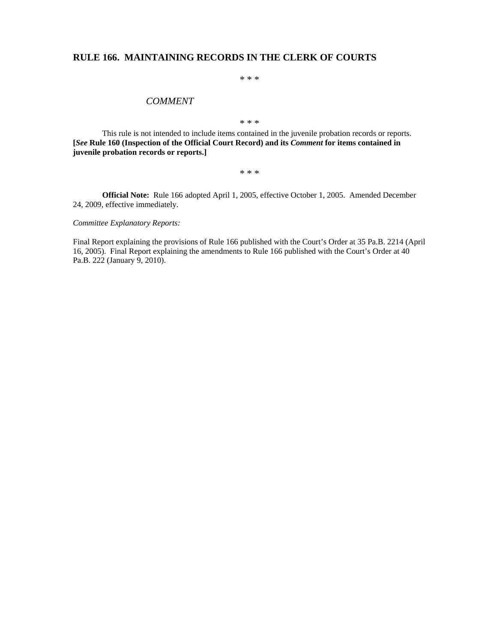## **RULE 166. MAINTAINING RECORDS IN THE CLERK OF COURTS**

\* \* \*

#### *COMMENT*

\* \* \*

This rule is not intended to include items contained in the juvenile probation records or reports. **[***See* **Rule 160 (Inspection of the Official Court Record) and its** *Comment* **for items contained in juvenile probation records or reports.]** 

\* \* \*

**Official Note:** Rule 166 adopted April 1, 2005, effective October 1, 2005. Amended December 24, 2009, effective immediately.

*Committee Explanatory Reports:* 

Final Report explaining the provisions of Rule 166 published with the Court's Order at 35 Pa.B. 2214 (April 16, 2005). Final Report explaining the amendments to Rule 166 published with the Court's Order at 40 Pa.B. 222 (January 9, 2010).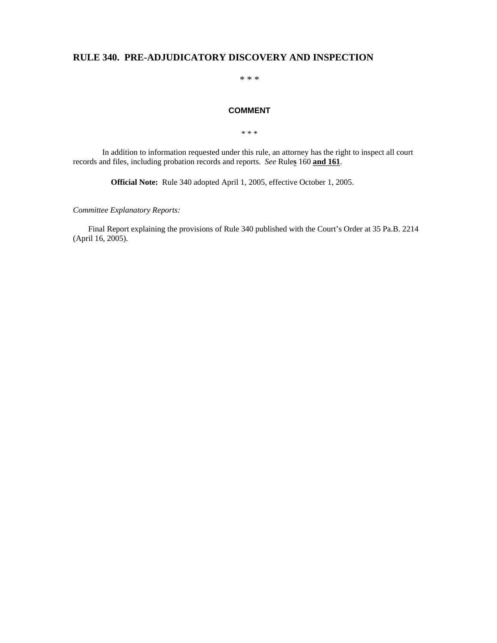## **RULE 340. PRE-ADJUDICATORY DISCOVERY AND INSPECTION**

\* \* \*

### **COMMENT**

\* \* \*

In addition to information requested under this rule, an attorney has the right to inspect all court records and files, including probation records and reports. *See* Rule**s** 160 **and 161**.

**Official Note:** Rule 340 adopted April 1, 2005, effective October 1, 2005.

*Committee Explanatory Reports:* 

Final Report explaining the provisions of Rule 340 published with the Court's Order at 35 Pa.B. 2214 (April 16, 2005).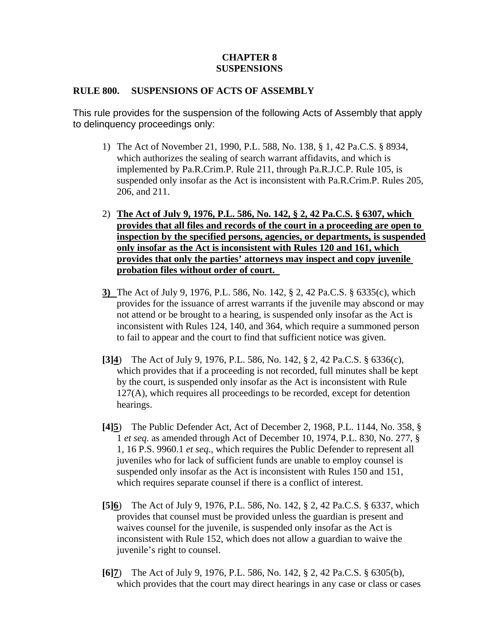# **CHAPTER 8 SUSPENSIONS**

## **RULE 800. SUSPENSIONS OF ACTS OF ASSEMBLY**

This rule provides for the suspension of the following Acts of Assembly that apply to delinquency proceedings only:

- 1) The Act of November 21, 1990, P.L. 588, No. 138, § 1, 42 Pa.C.S. § 8934, which authorizes the sealing of search warrant affidavits, and which is implemented by Pa.R.Crim.P. Rule 211, through Pa.R.J.C.P. Rule 105, is suspended only insofar as the Act is inconsistent with Pa.R.Crim.P. Rules 205, 206, and 211.
- 2) **The Act of July 9, 1976, P.L. 586, No. 142, § 2, 42 Pa.C.S. § 6307, which provides that all files and records of the court in a proceeding are open to inspection by the specified persons, agencies, or departments, is suspended only insofar as the Act is inconsistent with Rules 120 and 161, which provides that only the parties' attorneys may inspect and copy juvenile probation files without order of court.**
- **3)** The Act of July 9, 1976, P.L. 586, No. 142, § 2, 42 Pa.C.S. § 6335(c), which provides for the issuance of arrest warrants if the juvenile may abscond or may not attend or be brought to a hearing, is suspended only insofar as the Act is inconsistent with Rules 124, 140, and 364, which require a summoned person to fail to appear and the court to find that sufficient notice was given.
- **[3]4**) The Act of July 9, 1976, P.L. 586, No. 142, § 2, 42 Pa.C.S. § 6336(c), which provides that if a proceeding is not recorded, full minutes shall be kept by the court, is suspended only insofar as the Act is inconsistent with Rule 127(A), which requires all proceedings to be recorded, except for detention hearings.
- **[4]5**) The Public Defender Act, Act of December 2, 1968, P.L. 1144, No. 358, § 1 *et seq.* as amended through Act of December 10, 1974, P.L. 830, No. 277, § 1, 16 P.S. 9960.1 *et seq.*, which requires the Public Defender to represent all juveniles who for lack of sufficient funds are unable to employ counsel is suspended only insofar as the Act is inconsistent with Rules 150 and 151, which requires separate counsel if there is a conflict of interest.
- **[5]6**) The Act of July 9, 1976, P.L. 586, No. 142, § 2, 42 Pa.C.S. § 6337, which provides that counsel must be provided unless the guardian is present and waives counsel for the juvenile, is suspended only insofar as the Act is inconsistent with Rule 152, which does not allow a guardian to waive the juvenile's right to counsel.
- **[6]7**) The Act of July 9, 1976, P.L. 586, No. 142, § 2, 42 Pa.C.S. § 6305(b), which provides that the court may direct hearings in any case or class or cases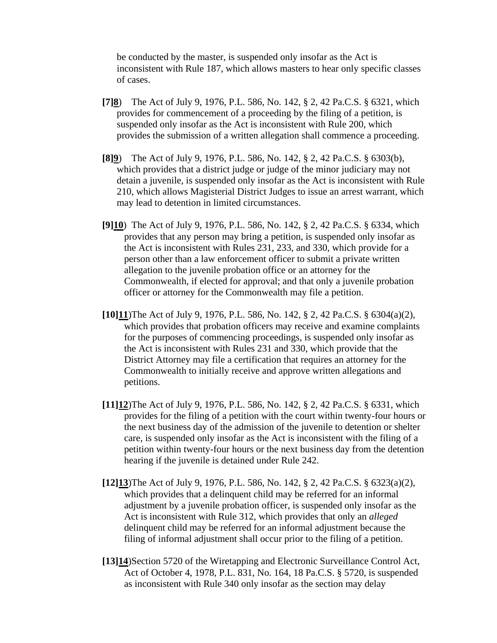be conducted by the master, is suspended only insofar as the Act is inconsistent with Rule 187, which allows masters to hear only specific classes of cases.

- **[7]8**) The Act of July 9, 1976, P.L. 586, No. 142, § 2, 42 Pa.C.S. § 6321, which provides for commencement of a proceeding by the filing of a petition, is suspended only insofar as the Act is inconsistent with Rule 200, which provides the submission of a written allegation shall commence a proceeding.
- **[8]9**) The Act of July 9, 1976, P.L. 586, No. 142, § 2, 42 Pa.C.S. § 6303(b), which provides that a district judge or judge of the minor judiciary may not detain a juvenile, is suspended only insofar as the Act is inconsistent with Rule 210, which allows Magisterial District Judges to issue an arrest warrant, which may lead to detention in limited circumstances.
- **[9]10**) The Act of July 9, 1976, P.L. 586, No. 142, § 2, 42 Pa.C.S. § 6334, which provides that any person may bring a petition, is suspended only insofar as the Act is inconsistent with Rules 231, 233, and 330, which provide for a person other than a law enforcement officer to submit a private written allegation to the juvenile probation office or an attorney for the Commonwealth, if elected for approval; and that only a juvenile probation officer or attorney for the Commonwealth may file a petition.
- **[10]11**)The Act of July 9, 1976, P.L. 586, No. 142, § 2, 42 Pa.C.S. § 6304(a)(2), which provides that probation officers may receive and examine complaints for the purposes of commencing proceedings, is suspended only insofar as the Act is inconsistent with Rules 231 and 330, which provide that the District Attorney may file a certification that requires an attorney for the Commonwealth to initially receive and approve written allegations and petitions.
- **[11]12**)The Act of July 9, 1976, P.L. 586, No. 142, § 2, 42 Pa.C.S. § 6331, which provides for the filing of a petition with the court within twenty-four hours or the next business day of the admission of the juvenile to detention or shelter care, is suspended only insofar as the Act is inconsistent with the filing of a petition within twenty-four hours or the next business day from the detention hearing if the juvenile is detained under Rule 242.
- **[12]13**)The Act of July 9, 1976, P.L. 586, No. 142, § 2, 42 Pa.C.S. § 6323(a)(2), which provides that a delinquent child may be referred for an informal adjustment by a juvenile probation officer, is suspended only insofar as the Act is inconsistent with Rule 312, which provides that only an *alleged* delinquent child may be referred for an informal adjustment because the filing of informal adjustment shall occur prior to the filing of a petition.
- **[13]14**)Section 5720 of the Wiretapping and Electronic Surveillance Control Act, Act of October 4, 1978, P.L. 831, No. 164, 18 Pa.C.S. § 5720, is suspended as inconsistent with Rule 340 only insofar as the section may delay